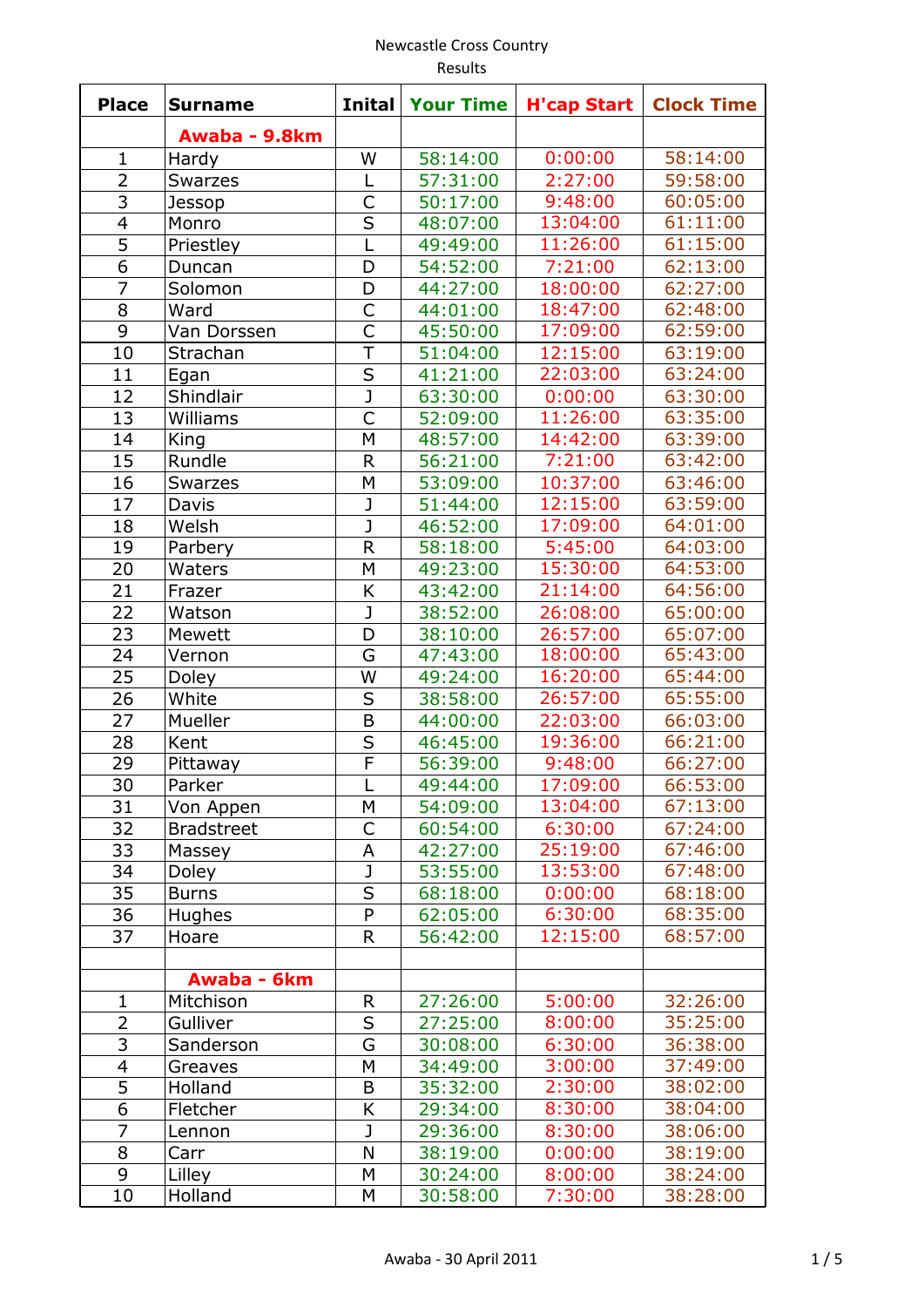| <b>Place</b>   | <b>Surname</b>    | <b>Inital</b>           | <b>Your Time</b> | <b>H'cap Start</b> | <b>Clock Time</b> |
|----------------|-------------------|-------------------------|------------------|--------------------|-------------------|
|                | Awaba - 9.8km     |                         |                  |                    |                   |
| $\mathbf{1}$   | Hardy             | W                       | 58:14:00         | 0:00:00            | 58:14:00          |
| $\overline{2}$ | <b>Swarzes</b>    | L                       | 57:31:00         | 2:27:00            | 59:58:00          |
| 3              | Jessop            | $\mathsf{C}$            | 50:17:00         | 9:48:00            | 60:05:00          |
| $\overline{4}$ | Monro             | S                       | 48:07:00         | 13:04:00           | 61:11:00          |
| 5              | Priestley         | L                       | 49:49:00         | 11:26:00           | 61:15:00          |
| 6              | Duncan            | D                       | 54:52:00         | 7:21:00            | 62:13:00          |
| $\overline{7}$ | Solomon           | D                       | 44:27:00         | 18:00:00           | 62:27:00          |
| 8              | Ward              | C                       | 44:01:00         | 18:47:00           | 62:48:00          |
| 9              | Van Dorssen       | C                       | 45:50:00         | 17:09:00           | 62:59:00          |
| 10             | Strachan          | T                       | 51:04:00         | 12:15:00           | 63:19:00          |
| 11             | Egan              | S                       | 41:21:00         | 22:03:00           | 63:24:00          |
| 12             | Shindlair         | J                       | 63:30:00         | 0:00:00            | 63:30:00          |
| 13             | Williams          | $\mathsf{C}$            | 52:09:00         | 11:26:00           | 63:35:00          |
| 14             | King              | M                       | 48:57:00         | 14:42:00           | 63:39:00          |
| 15             | Rundle            | $\mathsf{R}$            | 56:21:00         | 7:21:00            | 63:42:00          |
| 16             | <b>Swarzes</b>    | M                       | 53:09:00         | 10:37:00           | 63:46:00          |
| 17             | Davis             | J                       | 51:44:00         | 12:15:00           | 63:59:00          |
| 18             | Welsh             | J                       | 46:52:00         | 17:09:00           | 64:01:00          |
| 19             | Parbery           | $\mathsf{R}$            | 58:18:00         | 5:45:00            | 64:03:00          |
| 20             | Waters            | М                       | 49:23:00         | 15:30:00           | 64:53:00          |
| 21             | Frazer            | K                       | 43:42:00         | 21:14:00           | 64:56:00          |
| 22             | Watson            | J                       | 38:52:00         | 26:08:00           | 65:00:00          |
| 23             | Mewett            | D                       | 38:10:00         | 26:57:00           | 65:07:00          |
| 24             | Vernon            | G                       | 47:43:00         | 18:00:00           | 65:43:00          |
| 25             | Doley             | W                       | 49:24:00         | 16:20:00           | 65:44:00          |
| 26             | White             | S                       | 38:58:00         | 26:57:00           | 65:55:00          |
| 27             | Mueller           | B                       | 44:00:00         | 22:03:00           | 66:03:00          |
| 28             | Kent              | S                       | 46:45:00         | 19:36:00           | 66:21:00          |
| 29             | Pittaway          | $\overline{F}$          | 56:39:00         | 9:48:00            | 66:27:00          |
| 30             | Parker            |                         | 49:44:00         | 17:09:00           | 66:53:00          |
| 31             | Von Appen         | М                       | 54:09:00         | 13:04:00           | 67:13:00          |
| 32             | <b>Bradstreet</b> | C                       | 60:54:00         | 6:30:00            | 67:24:00          |
| 33             | Massey            | Α                       | 42:27:00         | 25:19:00           | 67:46:00          |
| 34             | Doley             | J                       | 53:55:00         | 13:53:00           | 67:48:00          |
| 35             | <b>Burns</b>      | $\overline{\mathsf{s}}$ | 68:18:00         | 0:00:00            | 68:18:00          |
| 36             | <b>Hughes</b>     | $\mathsf{P}$            | 62:05:00         | 6:30:00            | 68:35:00          |
| 37             | Hoare             | $\mathsf{R}$            | 56:42:00         | 12:15:00           | 68:57:00          |
|                |                   |                         |                  |                    |                   |
|                | Awaba - 6km       |                         |                  |                    |                   |
| $\mathbf{1}$   | Mitchison         | $\mathsf{R}$            | 27:26:00         | 5:00:00            | 32:26:00          |
| 2              | Gulliver          | S                       | 27:25:00         | 8:00:00            | 35:25:00          |
| 3              | Sanderson         | G                       | 30:08:00         | 6:30:00            | 36:38:00          |
| $\overline{4}$ | Greaves           | M                       | 34:49:00         | 3:00:00            | 37:49:00          |
| 5              | Holland           | B                       | 35:32:00         | 2:30:00            | 38:02:00          |
| 6              | Fletcher          | Κ                       | 29:34:00         | 8:30:00            | 38:04:00          |
| $\overline{7}$ | Lennon            | J                       | 29:36:00         | 8:30:00            | 38:06:00          |
| 8              | Carr              | N                       | 38:19:00         | 0:00:00            | 38:19:00          |
| 9              | Lilley            | M                       | 30:24:00         | 8:00:00            | 38:24:00          |
| 10             | Holland           | M                       | 30:58:00         | 7:30:00            | 38:28:00          |
|                |                   |                         |                  |                    |                   |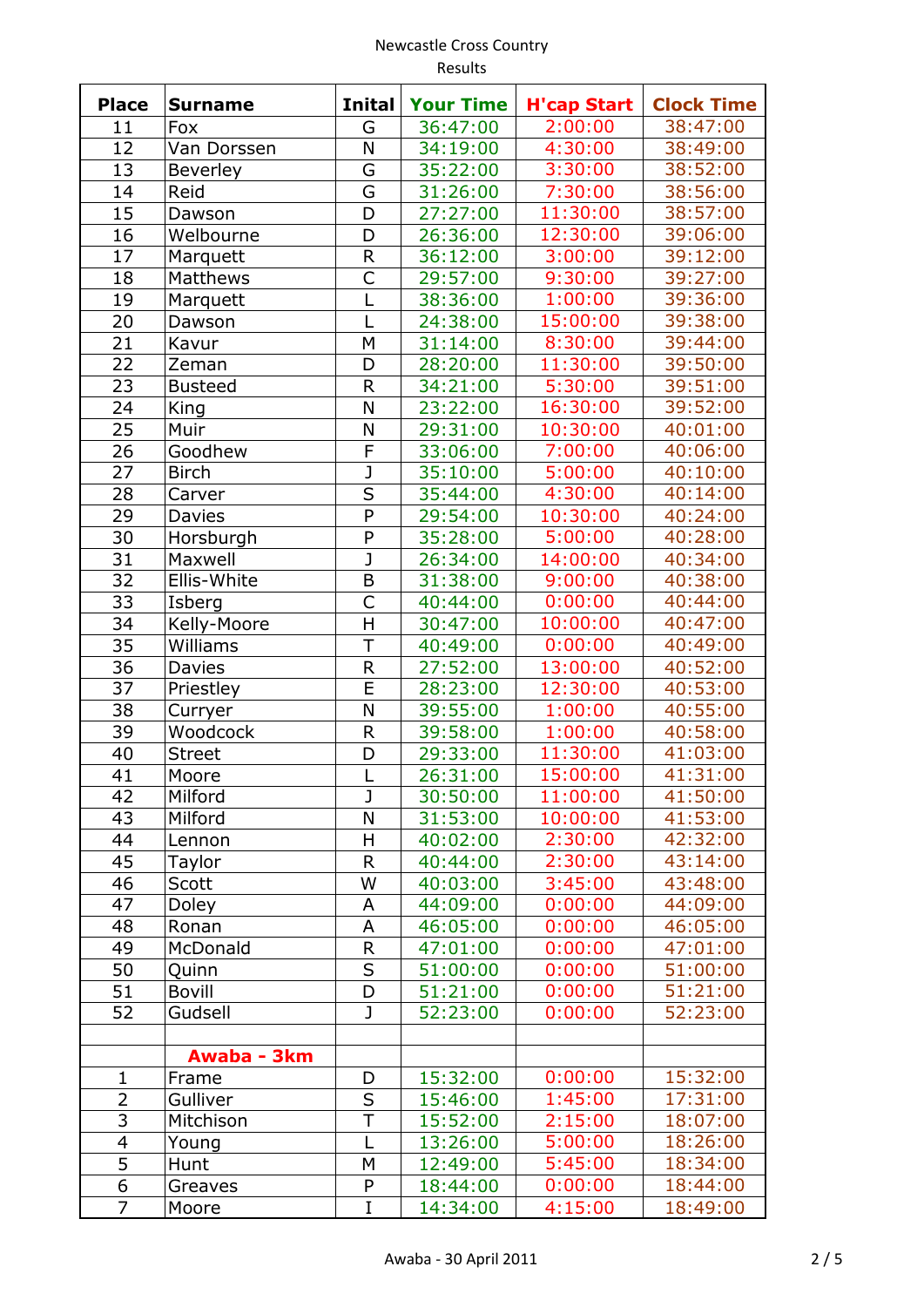| <b>Place</b>   | <b>Surname</b>  | <b>Inital</b>           | <b>Your Time</b> | <b>H'cap Start</b> | <b>Clock Time</b> |
|----------------|-----------------|-------------------------|------------------|--------------------|-------------------|
| 11             | Fox             | G                       | 36:47:00         | 2:00:00            | 38:47:00          |
| 12             | Van Dorssen     | N                       | 34:19:00         | 4:30:00            | 38:49:00          |
| 13             | <b>Beverley</b> | G                       | 35:22:00         | 3:30:00            | 38:52:00          |
| 14             | Reid            | G                       | 31:26:00         | 7:30:00            | 38:56:00          |
| 15             | Dawson          | D                       | 27:27:00         | 11:30:00           | 38:57:00          |
| 16             | Welbourne       | D                       | 26:36:00         | 12:30:00           | 39:06:00          |
| 17             | Marquett        | $\mathsf R$             | 36:12:00         | 3:00:00            | 39:12:00          |
| 18             | Matthews        | C                       | 29:57:00         | 9:30:00            | 39:27:00          |
| 19             | Marquett        |                         | 38:36:00         | 1:00:00            | 39:36:00          |
| 20             | Dawson          | L                       | 24:38:00         | 15:00:00           | 39:38:00          |
| 21             | Kavur           | M                       | 31:14:00         | 8:30:00            | 39:44:00          |
| 22             | Zeman           | D                       | 28:20:00         | 11:30:00           | 39:50:00          |
| 23             | <b>Busteed</b>  | $\mathsf R$             | 34:21:00         | 5:30:00            | 39:51:00          |
| 24             | King            | N                       | 23:22:00         | 16:30:00           | 39:52:00          |
| 25             | Muir            | N                       | 29:31:00         | 10:30:00           | 40:01:00          |
| 26             | Goodhew         | F                       | 33:06:00         | 7:00:00            | 40:06:00          |
| 27             | <b>Birch</b>    | J                       | 35:10:00         | 5:00:00            | 40:10:00          |
| 28             | Carver          | S                       | 35:44:00         | 4:30:00            | 40:14:00          |
| 29             | Davies          | P                       | 29:54:00         | 10:30:00           | 40:24:00          |
| 30             | Horsburgh       | P                       | 35:28:00         | 5:00:00            | 40:28:00          |
| 31             | Maxwell         | $\overline{\texttt{J}}$ | 26:34:00         | 14:00:00           | 40:34:00          |
| 32             | Ellis-White     | B                       | 31:38:00         | 9:00:00            | 40:38:00          |
| 33             | Isberg          | C                       | 40:44:00         | 0:00:00            | 40:44:00          |
| 34             | Kelly-Moore     | H                       | 30:47:00         | 10:00:00           | 40:47:00          |
| 35             | Williams        | T                       | 40:49:00         | 0:00:00            | 40:49:00          |
| 36             | Davies          | $\mathsf R$             | 27:52:00         | 13:00:00           | 40:52:00          |
| 37             | Priestley       | E                       | 28:23:00         | 12:30:00           | 40:53:00          |
| 38             | Curryer         | N                       | 39:55:00         | 1:00:00            | 40:55:00          |
| 39             | Woodcock        | $\mathsf{R}$            | 39:58:00         | 1:00:00            | 40:58:00          |
| 40             | <b>Street</b>   | D                       | 29:33:00         | 11:30:00           | 41:03:00          |
| 41             | Moore           |                         | 26:31:00         | 15:00:00           | 41:31:00          |
| 42             | Milford         | J                       | 30:50:00         | 11:00:00           | 41:50:00          |
| 43             | Milford         | N                       | 31:53:00         | 10:00:00           | 41:53:00          |
| 44             | Lennon          | H                       | 40:02:00         | 2:30:00            | 42:32:00          |
| 45             | Taylor          | $\mathsf R$             | 40:44:00         | 2:30:00            | 43:14:00          |
| 46             | Scott           | W                       | 40:03:00         | 3:45:00            | 43:48:00          |
| 47             | <b>Doley</b>    | A                       | 44:09:00         | 0:00:00            | 44:09:00          |
| 48             | Ronan           | A                       | 46:05:00         | 0:00:00            | 46:05:00          |
| 49             | McDonald        | $\mathsf R$             | 47:01:00         | 0:00:00            | 47:01:00          |
| 50             | Quinn           | S                       | 51:00:00         | 0:00:00            | 51:00:00          |
| 51             | <b>Bovill</b>   | D                       | 51:21:00         | 0:00:00            | 51:21:00          |
| 52             | Gudsell         | $\mathbf{J}$            | 52:23:00         | 0:00:00            | 52:23:00          |
|                |                 |                         |                  |                    |                   |
|                | Awaba - 3km     |                         |                  |                    |                   |
| $\mathbf{1}$   | Frame           | D                       | 15:32:00         | 0:00:00            | 15:32:00          |
| 2              | Gulliver        | $\sf S$                 | 15:46:00         | 1:45:00            | 17:31:00          |
| 3              | Mitchison       | T                       | 15:52:00         | 2:15:00            | 18:07:00          |
| $\overline{4}$ | Young           | L                       | 13:26:00         | 5:00:00            | 18:26:00          |
| 5              | Hunt            | M                       | 12:49:00         | 5:45:00            | 18:34:00          |
| 6              | Greaves         | P                       | 18:44:00         | 0:00:00            | 18:44:00          |
| $\overline{7}$ | Moore           | $\overline{I}$          | 14:34:00         | 4:15:00            | 18:49:00          |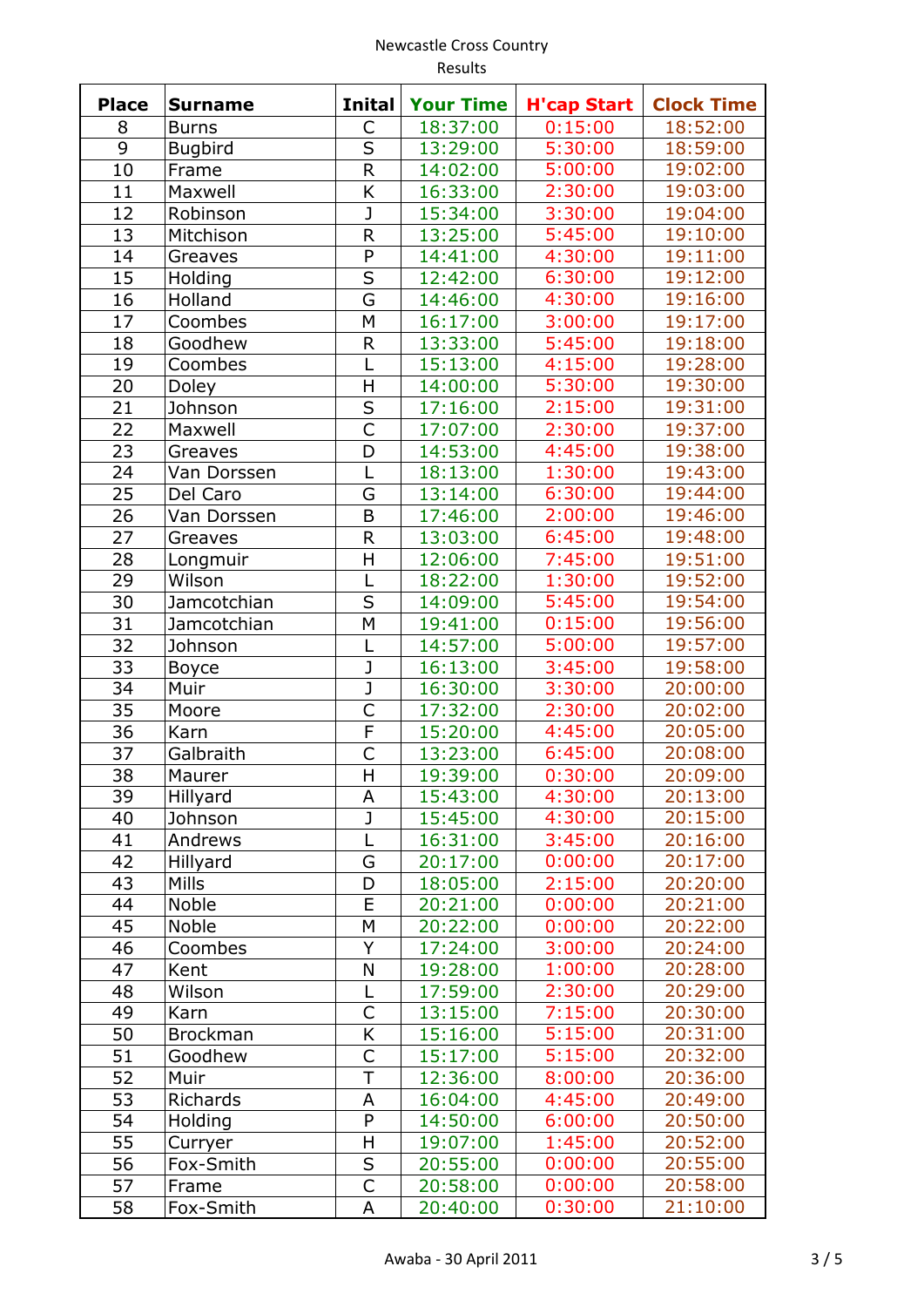| <b>Place</b> | <b>Surname</b>  | <b>Inital</b>           | <b>Your Time</b> | <b>H'cap Start</b> | <b>Clock Time</b> |
|--------------|-----------------|-------------------------|------------------|--------------------|-------------------|
| 8            | <b>Burns</b>    | C                       | 18:37:00         | 0:15:00            | 18:52:00          |
| 9            | <b>Bugbird</b>  | S                       | 13:29:00         | 5:30:00            | 18:59:00          |
| 10           | Frame           | $\mathsf{R}$            | 14:02:00         | 5:00:00            | 19:02:00          |
| 11           | Maxwell         | K                       | 16:33:00         | 2:30:00            | 19:03:00          |
| 12           | Robinson        | J                       | 15:34:00         | 3:30:00            | 19:04:00          |
| 13           | Mitchison       | R                       | 13:25:00         | 5:45:00            | 19:10:00          |
| 14           | Greaves         | P                       | 14:41:00         | 4:30:00            | 19:11:00          |
| 15           | Holding         | S                       | 12:42:00         | 6:30:00            | 19:12:00          |
| 16           | Holland         | G                       | 14:46:00         | 4:30:00            | 19:16:00          |
| 17           | Coombes         | М                       | 16:17:00         | 3:00:00            | 19:17:00          |
| 18           | Goodhew         | $\mathsf{R}$            | 13:33:00         | 5:45:00            | 19:18:00          |
| 19           | Coombes         | L                       | 15:13:00         | 4:15:00            | 19:28:00          |
| 20           | Doley           | Η                       | 14:00:00         | 5:30:00            | 19:30:00          |
| 21           | Johnson         | S                       | 17:16:00         | 2:15:00            | 19:31:00          |
| 22           | Maxwell         | $\mathsf{C}$            | 17:07:00         | 2:30:00            | 19:37:00          |
| 23           | Greaves         | D                       | 14:53:00         | 4:45:00            | 19:38:00          |
| 24           | Van Dorssen     | L                       | 18:13:00         | 1:30:00            | 19:43:00          |
| 25           | Del Caro        | G                       | 13:14:00         | 6:30:00            | 19:44:00          |
| 26           | Van Dorssen     | B                       | 17:46:00         | 2:00:00            | 19:46:00          |
| 27           | Greaves         | $\mathsf R$             | 13:03:00         | 6:45:00            | 19:48:00          |
| 28           | Longmuir        | H                       | 12:06:00         | 7:45:00            | 19:51:00          |
| 29           | Wilson          | L                       | 18:22:00         | 1:30:00            | 19:52:00          |
| 30           | Jamcotchian     | S                       | 14:09:00         | 5:45:00            | 19:54:00          |
| 31           | Jamcotchian     | M                       | 19:41:00         | 0:15:00            | 19:56:00          |
| 32           | Johnson         | L                       | 14:57:00         | 5:00:00            | 19:57:00          |
| 33           | <b>Boyce</b>    | J                       | 16:13:00         | 3:45:00            | 19:58:00          |
| 34           | Muir            | $\overline{\mathsf{J}}$ | 16:30:00         | 3:30:00            | 20:00:00          |
| 35           | Moore           | C                       | 17:32:00         | 2:30:00            | 20:02:00          |
| 36           | Karn            | F                       | 15:20:00         | 4:45:00            | 20:05:00          |
| 37           | Galbraith       | $\overline{C}$          | 13:23:00         | 6:45:00            | 20:08:00          |
| 38           | Maurer          | H                       | 19:39:00         | 0:30:00            | 20:09:00          |
| 39           | Hillyard        | A                       | 15:43:00         | 4:30:00            | 20:13:00          |
| 40           | Johnson         | J                       | 15:45:00         | 4:30:00            | 20:15:00          |
| 41           | Andrews         | L                       | 16:31:00         | 3:45:00            | 20:16:00          |
| 42           | Hillyard        | G                       | 20:17:00         | 0:00:00            | 20:17:00          |
| 43           | <b>Mills</b>    | D                       | 18:05:00         | 2:15:00            | 20:20:00          |
| 44           | Noble           | E                       | 20:21:00         | 0:00:00            | 20:21:00          |
| 45           | Noble           | M                       | 20:22:00         | 0:00:00            | 20:22:00          |
| 46           | Coombes         | Υ                       | 17:24:00         | 3:00:00            | 20:24:00          |
| 47           | Kent            | N                       | 19:28:00         | 1:00:00            | 20:28:00          |
| 48           | Wilson          | L                       | 17:59:00         | 2:30:00            | 20:29:00          |
| 49           | Karn            | Ċ                       | 13:15:00         | 7:15:00            | 20:30:00          |
| 50           | <b>Brockman</b> | K                       | 15:16:00         | 5:15:00            | 20:31:00          |
| 51           | Goodhew         | C                       | 15:17:00         | 5:15:00            | 20:32:00          |
| 52           | Muir            | T                       | 12:36:00         | 8:00:00            | 20:36:00          |
| 53           | <b>Richards</b> | А                       | 16:04:00         | 4:45:00            | 20:49:00          |
| 54           | Holding         | P                       | 14:50:00         | 6:00:00            | 20:50:00          |
| 55           | Curryer         | H                       | 19:07:00         | 1:45:00            | 20:52:00          |
| 56           | Fox-Smith       | S                       | 20:55:00         | 0:00:00            | 20:55:00          |
| 57           | Frame           | С                       | 20:58:00         | 0:00:00            | 20:58:00          |
| 58           | Fox-Smith       | A                       | 20:40:00         | 0:30:00            | 21:10:00          |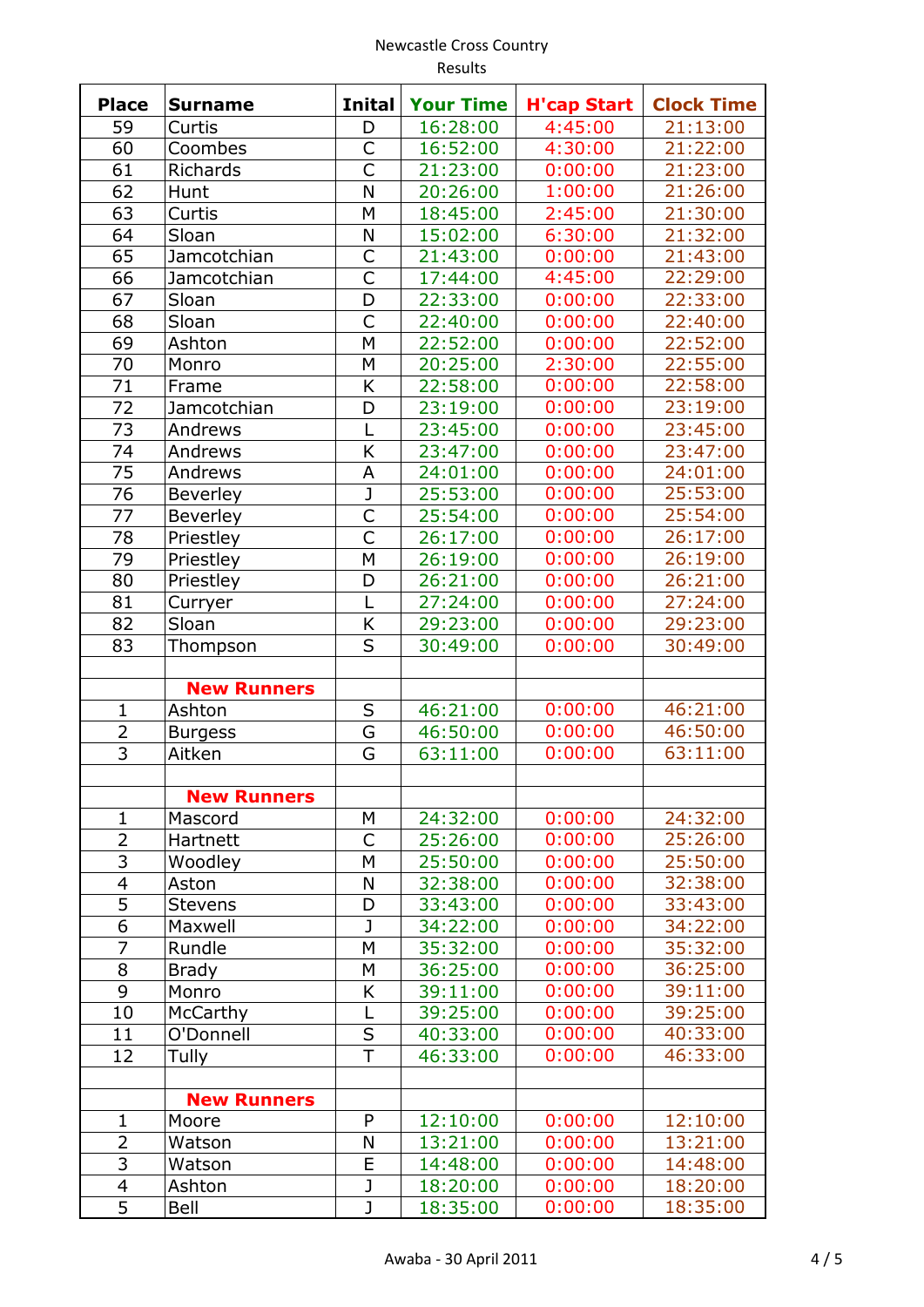| <b>Place</b>   | <b>Surname</b>               | <b>Inital</b>           | <b>Your Time</b> | <b>H'cap Start</b> | <b>Clock Time</b> |
|----------------|------------------------------|-------------------------|------------------|--------------------|-------------------|
| 59             | Curtis                       | D                       | 16:28:00         | 4:45:00            | 21:13:00          |
| 60             | Coombes                      | C                       | 16:52:00         | 4:30:00            | 21:22:00          |
| 61             | Richards                     | Ċ                       | 21:23:00         | 0:00:00            | 21:23:00          |
| 62             | Hunt                         | N                       | 20:26:00         | 1:00:00            | 21:26:00          |
| 63             | Curtis                       | M                       | 18:45:00         | 2:45:00            | 21:30:00          |
| 64             | Sloan                        | N                       | 15:02:00         | 6:30:00            | 21:32:00          |
| 65             | Jamcotchian                  | $\overline{C}$          | 21:43:00         | 0:00:00            | 21:43:00          |
| 66             | Jamcotchian                  | Ċ                       | 17:44:00         | 4:45:00            | 22:29:00          |
| 67             | Sloan                        | D                       | 22:33:00         | 0:00:00            | 22:33:00          |
| 68             | Sloan                        | C                       | 22:40:00         | 0:00:00            | 22:40:00          |
| 69             | Ashton                       | M                       | 22:52:00         | 0:00:00            | 22:52:00          |
| 70             | Monro                        | M                       | 20:25:00         | 2:30:00            | 22:55:00          |
| 71             | Frame                        | K                       | 22:58:00         | 0:00:00            | 22:58:00          |
| 72             | Jamcotchian                  | D                       | 23:19:00         | 0:00:00            | 23:19:00          |
| 73             | Andrews                      | L                       | 23:45:00         | 0:00:00            | 23:45:00          |
| 74             | Andrews                      | K                       | 23:47:00         | 0:00:00            | 23:47:00          |
| 75             | Andrews                      | A                       | 24:01:00         | 0:00:00            | 24:01:00          |
| 76             | <b>Beverley</b>              | J                       | 25:53:00         | 0:00:00            | 25:53:00          |
| 77             | <b>Beverley</b>              | C                       | 25:54:00         | 0:00:00            | 25:54:00          |
| 78             | Priestley                    | Ċ                       | 26:17:00         | 0:00:00            | 26:17:00          |
| 79             | Priestley                    | M                       | 26:19:00         | 0:00:00            | 26:19:00          |
| 80             | Priestley                    | D                       | 26:21:00         | 0:00:00            | 26:21:00          |
| 81             | Curryer                      | L                       | 27:24:00         | 0:00:00            | 27:24:00          |
| 82             | Sloan                        | K                       | 29:23:00         | 0:00:00            | 29:23:00          |
| 83             | Thompson                     | S                       | 30:49:00         | 0:00:00            | 30:49:00          |
|                |                              |                         |                  |                    |                   |
| $\mathbf{1}$   | <b>New Runners</b><br>Ashton | S                       | 46:21:00         | 0:00:00            | 46:21:00          |
| 2              |                              | G                       | 46:50:00         | 0:00:00            | 46:50:00          |
| $\overline{3}$ | <b>Burgess</b><br>Aitken     | G                       | 63:11:00         | 0:00:00            | 63:11:00          |
|                |                              |                         |                  |                    |                   |
|                | <b>New Runners</b>           |                         |                  |                    |                   |
| $\mathbf{1}$   | Mascord                      | М                       | 24:32:00         | 0:00:00            | 24:32:00          |
| 2              | Hartnett                     | C                       | 25:26:00         | 0:00:00            | 25:26:00          |
| 3              | Woodley                      | M                       | 25:50:00         | 0:00:00            | 25:50:00          |
| 4              | Aston                        | N                       | 32:38:00         | 0:00:00            | 32:38:00          |
| $\overline{5}$ | <b>Stevens</b>               | D                       | 33:43:00         | 0:00:00            | 33:43:00          |
| 6              | Maxwell                      | J                       | 34:22:00         | 0:00:00            | 34:22:00          |
| $\overline{7}$ | Rundle                       | M                       | 35:32:00         | 0:00:00            | 35:32:00          |
| 8              | <b>Brady</b>                 | M                       | 36:25:00         | 0:00:00            | 36:25:00          |
| 9              | Monro                        | Κ                       | 39:11:00         | 0:00:00            | 39:11:00          |
| 10             | McCarthy                     | L                       | 39:25:00         | 0:00:00            | 39:25:00          |
| 11             | O'Donnell                    | S                       | 40:33:00         | 0:00:00            | 40:33:00          |
| 12             | Tully                        | T                       | 46:33:00         | 0:00:00            | 46:33:00          |
|                |                              |                         |                  |                    |                   |
|                | <b>New Runners</b>           |                         |                  |                    |                   |
| 1              | Moore                        | P                       | 12:10:00         | 0:00:00            | 12:10:00          |
| $\overline{2}$ | Watson                       | N                       | 13:21:00         | 0:00:00            | 13:21:00          |
| 3              | Watson                       | E                       | 14:48:00         | 0:00:00            | 14:48:00          |
| 4              | Ashton                       | J                       | 18:20:00         | 0:00:00            | 18:20:00          |
| $\overline{5}$ | Bell                         | $\overline{\texttt{J}}$ | 18:35:00         | 0:00:00            | 18:35:00          |